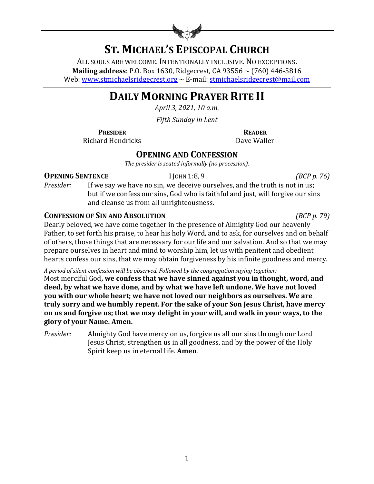

# **ST. MICHAEL'S EPISCOPAL CHURCH**

ALL SOULS ARE WELCOME. INTENTIONALLY INCLUSIVE. NO EXCEPTIONS. **Mailing address**: P.O. Box 1630, Ridgecrest, CA 93556  $\sim$  (760) 446-5816 Web: www.stmichaelsridgecrest.org  $\sim$  E-mail: stmichaelsridgecrest@mail.com

# **DAILY MORNING PRAYER RITE II**

*April 3, 2021, 10 a.m.*

*Fifth Sunday in Lent*

**PRESIDER READER** Richard Hendricks Dave Waller

# **OPENING AND CONFESSION**

*The presider is seated informally (no procession).* 

### **OPENING SENTENCE** I JOHN 1:8, 9 *(BCP p. 76)*

*Presider:* If we say we have no sin, we deceive ourselves, and the truth is not in us; but if we confess our sins, God who is faithful and just, will forgive our sins and cleanse us from all unrighteousness.

### **CONFESSION OF SIN AND ABSOLUTION** *(BCP p. 79)*

Dearly beloved, we have come together in the presence of Almighty God our heavenly Father, to set forth his praise, to hear his holy Word, and to ask, for ourselves and on behalf of others, those things that are necessary for our life and our salvation. And so that we may prepare ourselves in heart and mind to worship him, let us with penitent and obedient hearts confess our sins, that we may obtain forgiveness by his infinite goodness and mercy.

*A* period of silent confession will be observed. Followed by the congregation saying together:

Most merciful God, we confess that we have sinned against you in thought, word, and deed, by what we have done, and by what we have left undone. We have not loved **you** with our whole heart; we have not loved our neighbors as ourselves. We are truly sorry and we humbly repent. For the sake of your Son Jesus Christ, have mercy on us and forgive us; that we may delight in your will, and walk in your ways, to the **glory of your Name. Amen.**

*Presider:* Almighty God have mercy on us, forgive us all our sins through our Lord Jesus Christ, strengthen us in all goodness, and by the power of the Holy Spirit keep us in eternal life. **Amen**.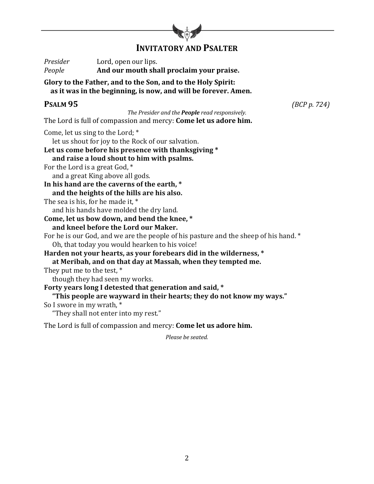

*Presider* Lord, open our lips. *People* **And our mouth shall proclaim your praise.** Glory to the Father, and to the Son, and to the Holy Spirit: as it was in the beginning, is now, and will be forever. Amen. **PSALM 95** *(BCP p. 724) The Presider and the People read responsively.* The Lord is full of compassion and mercy: **Come let us adore him.** Come, let us sing to the Lord;  $*$ let us shout for joy to the Rock of our salvation. Let us come before his presence with thanksgiving \* and raise a loud shout to him with psalms. For the Lord is a great God,  $*$ and a great King above all gods. In his hand are the caverns of the earth,  $*$ and the heights of the hills are his also. The sea is his, for he made it,  $*$ and his hands have molded the dry land. Come, let us bow down, and bend the knee, \* **and kneel before the Lord our Maker.** For he is our God, and we are the people of his pasture and the sheep of his hand. \* Oh, that today you would hearken to his voice! Harden not your hearts, as your forebears did in the wilderness, \* at Meribah, and on that day at Massah, when they tempted me. They put me to the test,  $*$ though they had seen my works. Forty years long I detested that generation and said, \* "This people are wayward in their hearts; they do not know my ways." So I swore in my wrath,  $*$ "They shall not enter into my rest." The Lord is full of compassion and mercy: **Come let us adore him.** 

*Please be seated.*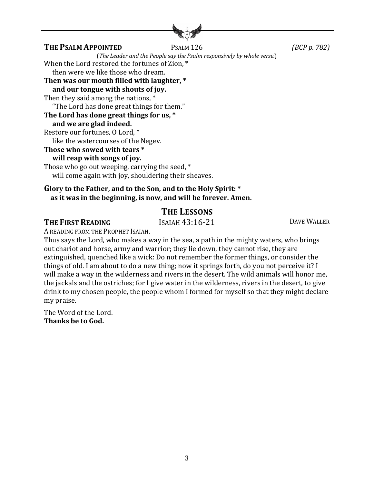

#### **THE PSALM APPOINTED** PSALM 126 *(BCP p. 782)*

(The Leader and the People say the Psalm responsively by whole verse.)

When the Lord restored the fortunes of Zion,  $*$ 

then were we like those who dream.

Then was our mouth filled with laughter, \*

and our tongue with shouts of joy.

Then they said among the nations,  $*$ "The Lord has done great things for them."

#### The Lord has done great things for us, \* and we are glad indeed.

Restore our fortunes, O Lord, \* like the watercourses of the Negev.

Those who sowed with tears \*

will reap with songs of joy.

Those who go out weeping, carrying the seed,  $*$ will come again with joy, shouldering their sheaves.

#### Glory to the Father, and to the Son, and to the Holy Spirit: \* as it was in the beginning, is now, and will be forever. Amen.

# **THE LESSONS**

### **THE FIRST READING ISAIAH 43:16-21** DAVE WALLER

A READING FROM THE PROPHET ISAIAH.

Thus says the Lord, who makes a way in the sea, a path in the mighty waters, who brings out chariot and horse, army and warrior; they lie down, they cannot rise, they are extinguished, quenched like a wick: Do not remember the former things, or consider the things of old. I am about to do a new thing; now it springs forth, do you not perceive it? I will make a way in the wilderness and rivers in the desert. The wild animals will honor me, the jackals and the ostriches; for I give water in the wilderness, rivers in the desert, to give drink to my chosen people, the people whom I formed for myself so that they might declare my praise.

The Word of the Lord. **Thanks be to God.**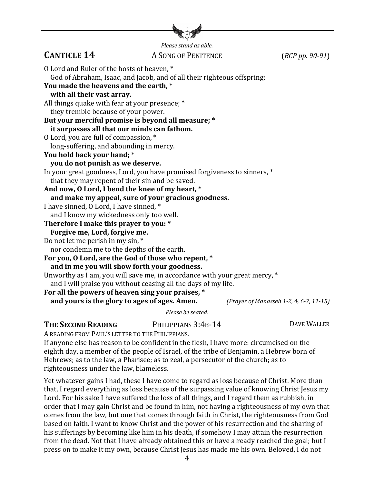

*Please stand as able.*

**CANTICLE 14** A SONG OF PENITENCE (*BCP pp.* 90-91)

O Lord and Ruler of the hosts of heaven, \* God of Abraham, Isaac, and Jacob, and of all their righteous offspring: You made the heavens and the earth,  $*$ **with all their vast array.** All things quake with fear at your presence;  $*$ they tremble because of your power. But your merciful promise is beyond all measure; \* **it surpasses all that our minds can fathom.** O Lord, you are full of compassion, \* long-suffering, and abounding in mercy. You hold back your hand; \* **you do not punish as we deserve.** In your great goodness, Lord, you have promised forgiveness to sinners,  $*$ that they may repent of their sin and be saved. And now, O Lord, I bend the knee of my heart, \* and make my appeal, sure of your gracious goodness. I have sinned, O Lord, I have sinned, \* and I know my wickedness only too well. Therefore I make this prayer to you: \* Forgive me, Lord, forgive me. Do not let me perish in my sin, \* nor condemn me to the depths of the earth. For you, O Lord, are the God of those who repent, \* and in me you will show forth your goodness. Unworthy as I am, you will save me, in accordance with your great mercy,  $*$ and I will praise you without ceasing all the days of my life. For all the powers of heaven sing your praises, \* **and yours is the glory to ages of ages. Amen.** *(Prayer of Manasseh 1-2, 4, 6-7, 11-15)* 

*Please be seated.*

**THE SECOND READING** PHILIPPIANS 3:4B-14 DAVE WALLER

A READING FROM PAUL'S LETTER TO THE PHILIPPIANS.

If anyone else has reason to be confident in the flesh, I have more: circumcised on the eighth day, a member of the people of Israel, of the tribe of Benjamin, a Hebrew born of Hebrews; as to the law, a Pharisee; as to zeal, a persecutor of the church; as to righteousness under the law, blameless.

Yet whatever gains I had, these I have come to regard as loss because of Christ. More than that, I regard everything as loss because of the surpassing value of knowing Christ Jesus my Lord. For his sake I have suffered the loss of all things, and I regard them as rubbish, in order that I may gain Christ and be found in him, not having a righteousness of my own that comes from the law, but one that comes through faith in Christ, the righteousness from God based on faith. I want to know Christ and the power of his resurrection and the sharing of his sufferings by becoming like him in his death, if somehow I may attain the resurrection from the dead. Not that I have already obtained this or have already reached the goal; but I press on to make it my own, because Christ Jesus has made me his own. Beloved, I do not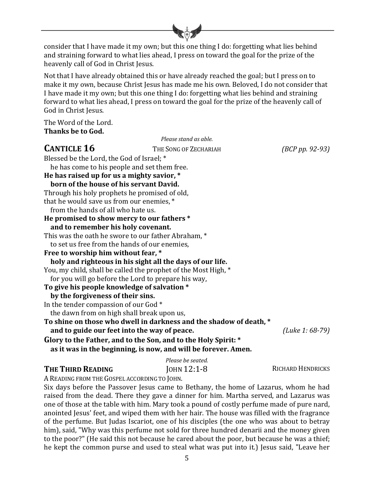

consider that I have made it my own; but this one thing I do: forgetting what lies behind and straining forward to what lies ahead, I press on toward the goal for the prize of the heavenly call of God in Christ Jesus.

Not that I have already obtained this or have already reached the goal; but I press on to make it my own, because Christ Jesus has made me his own. Beloved, I do not consider that I have made it my own; but this one thing I do: forgetting what lies behind and straining forward to what lies ahead, I press on toward the goal for the prize of the heavenly call of God in Christ Jesus.

The Word of the Lord. **Thanks be to God.** 

*Please stand as able.*

**CANTICLE 16** THE SONG OF ZECHARIAH *(BCP pp. 92-93)* Blessed be the Lord, the God of Israel: \* he has come to his people and set them free. He has raised up for us a mighty savior,  $*$ **born of the house of his servant David.** Through his holy prophets he promised of old, that he would save us from our enemies,  $*$ from the hands of all who hate us. He promised to show mercy to our fathers \* and to remember his holy covenant. This was the oath he swore to our father Abraham. \* to set us free from the hands of our enemies, Free to worship him without fear. \* holy and righteous in his sight all the days of our life. You, my child, shall be called the prophet of the Most High, \* for you will go before the Lord to prepare his way, To give his people knowledge of salvation \* by the forgiveness of their sins. In the tender compassion of our God  $*$ the dawn from on high shall break upon us, To shine on those who dwell in darkness and the shadow of death,  $*$ **and to guide our feet into the way of peace.** *(Luke 1:* 68-79) Glory to the Father, and to the Son, and to the Holy Spirit: \* as it was in the beginning, is now, and will be forever. Amen. *Please be seated.*

#### **THE THIRD READING JOHN 12:1-8 RICHARD HENDRICKS**

A READING FROM THE GOSPEL ACCORDING TO JOHN.

Six days before the Passover Jesus came to Bethany, the home of Lazarus, whom he had raised from the dead. There they gave a dinner for him. Martha served, and Lazarus was one of those at the table with him. Mary took a pound of costly perfume made of pure nard, anointed Jesus' feet, and wiped them with her hair. The house was filled with the fragrance of the perfume. But Judas Iscariot, one of his disciples (the one who was about to betray him), said, "Why was this perfume not sold for three hundred denarii and the money given to the poor?" (He said this not because he cared about the poor, but because he was a thief; he kept the common purse and used to steal what was put into it.) Jesus said, "Leave her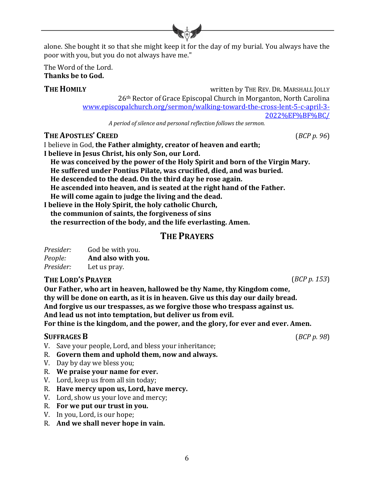alone. She bought it so that she might keep it for the day of my burial. You always have the poor with you, but you do not always have me."

The Word of the Lord.

**Thanks be to God.** 

**THE HOMILY** Written by THE REV. DR. MARSHALL JOLLY 26<sup>th</sup> Rector of Grace Episcopal Church in Morganton, North Carolina www.episcopalchurch.org/sermon/walking-toward-the-cross-lent-5-c-april-3- 2022%EF%BF%BC/

*A period of silence and personal reflection follows the sermon.*

#### **THE APOSTLES' CREED** (*BCP p.* 96)

I believe in God, the Father almighty, creator of heaven and earth; I believe in Jesus Christ, his only Son, our Lord. He was conceived by the power of the Holy Spirit and born of the Virgin Mary. He suffered under Pontius Pilate, was crucified, died, and was buried. He descended to the dead. On the third day he rose again. He ascended into heaven, and is seated at the right hand of the Father.

He will come again to judge the living and the dead.

I believe in the Holy Spirit, the holy catholic Church,

 **the communion of saints, the forgiveness of sins**

the resurrection of the body, and the life everlasting. Amen.

# **THE PRAYERS**

| Presider: | God be with you.   |
|-----------|--------------------|
| People:   | And also with you. |
| Presider: | Let us pray.       |

### **THE LORD'S PRAYER** (*BCP p.* 153)

Our Father, who art in heaven, hallowed be thy Name, thy Kingdom come, thy will be done on earth, as it is in heaven. Give us this day our daily bread. And forgive us our trespasses, as we forgive those who trespass against us. And lead us not into temptation, but deliver us from evil. For thine is the kingdom, and the power, and the glory, for ever and ever. Amen.

### **SUFFRAGES B** (*BCP p.* 98)

- V. Save your people, Lord, and bless your inheritance;
- R. Govern them and uphold them, now and always.
- V. Day by day we bless you;
- R. We praise your name for ever.
- V. Lord, keep us from all sin today;
- R. Have mercy upon us, Lord, have mercy.
- V. Lord, show us your love and mercy;
- R. For we put our trust in you.
- V. In you, Lord, is our hope;
- R. And we shall never hope in vain.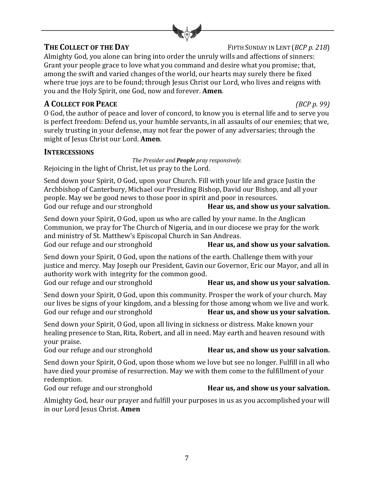# **THE COLLECT OF THE DAY EXECT OF THE DAY EXECUTE:** FIFTH SUNDAY IN LENT (*BCP p.* 218)

Almighty God, you alone can bring into order the unruly wills and affections of sinners: Grant your people grace to love what you command and desire what you promise; that, among the swift and varied changes of the world, our hearts may surely there be fixed where true joys are to be found; through Jesus Christ our Lord, who lives and reigns with you and the Holy Spirit, one God, now and forever. **Amen**.

●家中の

## **A COLLECT** FOR PEACE *(BCP p. 99)*

O God, the author of peace and lover of concord, to know you is eternal life and to serve you is perfect freedom: Defend us, your humble servants, in all assaults of our enemies; that we, surely trusting in your defense, may not fear the power of any adversaries; through the might of Jesus Christ our Lord. **Amen.** 

#### **INTERCESSIONS**

*The Presider and People pray responsively.* Rejoicing in the light of Christ, let us pray to the Lord.

Send down your Spirit, O God, upon your Church. Fill with your life and grace Justin the Archbishop of Canterbury, Michael our Presiding Bishop, David our Bishop, and all your people. May we be good news to those poor in spirit and poor in resources. God our refuge and our stronghold **Hear us, and show us your salvation.** 

Send down your Spirit, O God, upon us who are called by your name. In the Anglican Communion, we pray for The Church of Nigeria, and in our diocese we pray for the work and ministry of St. Matthew's Episcopal Church in San Andreas. God our refuge and our stronghold **Hear us, and show us your salvation.** 

Send down your Spirit, O God, upon the nations of the earth. Challenge them with your justice and mercy. May Joseph our President, Gavin our Governor, Eric our Mayor, and all in authority work with integrity for the common good.

God our refuge and our stronghold **Hear us, and show us your salvation.** 

Send down your Spirit, O God, upon this community. Prosper the work of your church. May our lives be signs of your kingdom, and a blessing for those among whom we live and work. God our refuge and our stronghold **Hear us, and show us your salvation.** 

Send down your Spirit, O God, upon all living in sickness or distress. Make known your healing presence to Stan, Rita, Robert, and all in need. May earth and heaven resound with your praise.

Send down your Spirit, O God, upon those whom we love but see no longer. Fulfill in all who have died your promise of resurrection. May we with them come to the fulfillment of your redemption.

God our refuge and our stronghold **Hear us, and show us your salvation.** 

Almighty God, hear our prayer and fulfill your purposes in us as you accomplished your will in our Lord Jesus Christ. **Amen** 

God our refuge and our stronghold **Hear us, and show us your salvation.**